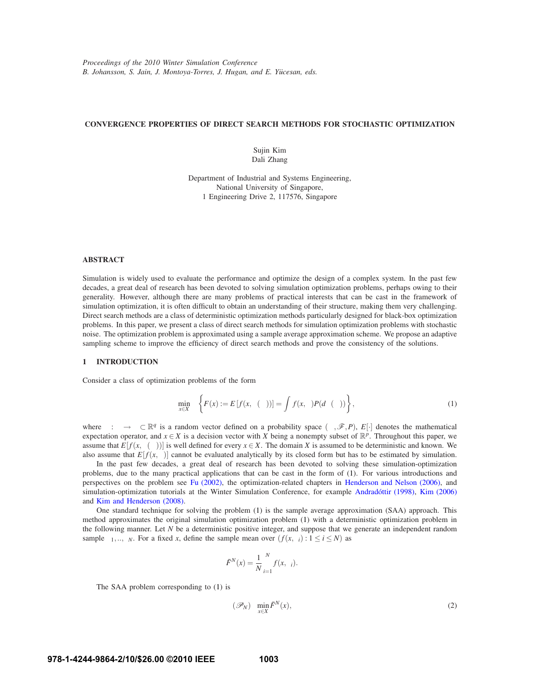# **CONVERGENCE PROPERTIES OF DIRECT SEARCH METHODS FOR STOCHASTIC OPTIMIZATION**

Sujin Kim Dali Zhang

Department of Industrial and Systems Engineering, National University of Singapore, 1 Engineering Drive 2, 117576, Singapore

# **ABSTRACT**

Simulation is widely used to evaluate the performance and optimize the design of a complex system. In the past few decades, a great deal of research has been devoted to solving simulation optimization problems, perhaps owing to their generality. However, although there are many problems of practical interests that can be cast in the framework of simulation optimization, it is often difficult to obtain an understanding of their structure, making them very challenging. Direct search methods are a class of deterministic optimization methods particularly designed for black-box optimization problems. In this paper, we present a class of direct search methods for simulation optimization problems with stochastic noise. The optimization problem is approximated using a sample average approximation scheme. We propose an adaptive sampling scheme to improve the efficiency of direct search methods and prove the consistency of the solutions.

### **1 INTRODUCTION**

Consider a class of optimization problems of the form

$$
\min_{x \in X} \left\{ F(x) := E\left[f(x, \xi(\omega))\right] = \int_{\Omega} f(x, \xi) P(d\xi(\omega)) \right\},\tag{1}
$$

where  $\xi : \omega \to \Xi \subset \mathbb{R}^q$  is a random vector defined on a probability space  $(\Omega, \mathscr{F}, P)$ ,  $E[\cdot]$  denotes the mathematical expectation operator, and  $x \in X$  is a decision vector with *X* being a nonempty subset of  $\mathbb{R}^p$ . Throughout this paper, we assume that  $E[f(x,\xi(\omega))]$  is well defined for every  $x \in X$ . The domain *X* is assumed to be deterministic and known. We also assume that  $E[f(x, \xi)]$  cannot be evaluated analytically by its closed form but has to be estimated by simulation.

In the past few decades, a great deal of research has been devoted to solving these simulation-optimization problems, due to the many practical applications that can be cast in the form of (1). For various introductions and perspectives on the problem see Fu (2002), the optimization-related chapters in Henderson and Nelson (2006), and simulation-optimization tutorials at the Winter Simulation Conference, for example Andradóttir (1998), Kim (2006) and Kim and Henderson (2008).

One standard technique for solving the problem (1) is the sample average approximation (SAA) approach. This method approximates the original simulation optimization problem (1) with a deterministic optimization problem in the following manner. Let *N* be a deterministic positive integer, and suppose that we generate an independent random sample  $\xi_1, \ldots, \xi_N$ . For a fixed *x*, define the sample mean over  $(f(x, \xi_i) : 1 \le i \le N)$  as

$$
\bar{F}^{N}(x) = \frac{1}{N} \sum_{i=1}^{N} f(x, \xi_{i}).
$$

The SAA problem corresponding to (1) is

$$
(\mathcal{P}_N) \quad \min_{x \in X} \bar{F}^N(x),\tag{2}
$$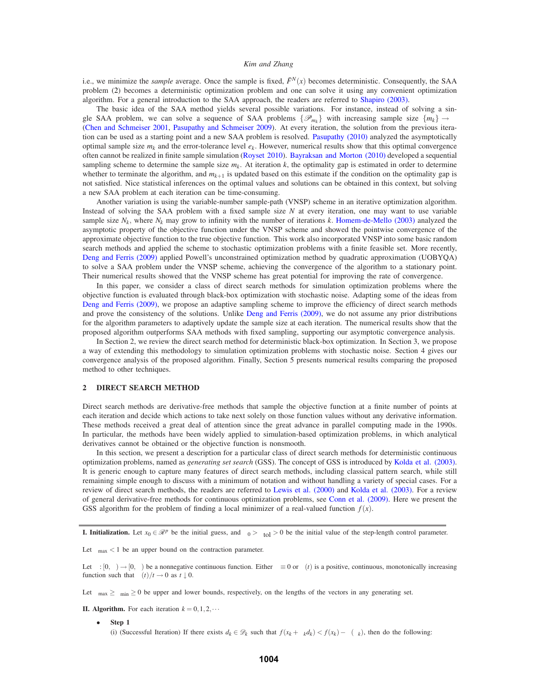i.e., we minimize the *sample* average. Once the sample is fixed,  $\bar{F}^N(x)$  becomes deterministic. Consequently, the SAA problem (2) becomes a deterministic optimization problem and one can solve it using any convenient optimization algorithm. For a general introduction to the SAA approach, the readers are referred to Shapiro (2003).

The basic idea of the SAA method yields several possible variations. For instance, instead of solving a single SAA problem, we can solve a sequence of SAA problems  $\{\mathcal{P}_{m_k}\}\$  with increasing sample size  $\{m_k\} \to \infty$ (Chen and Schmeiser 2001, Pasupathy and Schmeiser 2009). At every iteration, the solution from the previous iteration can be used as a starting point and a new SAA problem is resolved. Pasupathy (2010) analyzed the asymptotically optimal sample size  $m_k$  and the error-tolerance level  $e_k$ . However, numerical results show that this optimal convergence often cannot be realized in finite sample simulation (Royset 2010). Bayraksan and Morton (2010) developed a sequential sampling scheme to determine the sample size  $m_k$ . At iteration  $k$ , the optimality gap is estimated in order to determine whether to terminate the algorithm, and  $m_{k+1}$  is updated based on this estimate if the condition on the optimality gap is not satisfied. Nice statistical inferences on the optimal values and solutions can be obtained in this context, but solving a new SAA problem at each iteration can be time-consuming.

Another variation is using the variable-number sample-path (VNSP) scheme in an iterative optimization algorithm. Instead of solving the SAA problem with a fixed sample size *N* at every iteration, one may want to use variable sample size  $N_k$ , where  $N_k$  may grow to infinity with the number of iterations  $k$ . Homem-de-Mello (2003) analyzed the asymptotic property of the objective function under the VNSP scheme and showed the pointwise convergence of the approximate objective function to the true objective function. This work also incorporated VNSP into some basic random search methods and applied the scheme to stochastic optimization problems with a finite feasible set. More recently, Deng and Ferris (2009) applied Powell's unconstrained optimization method by quadratic approximation (UOBYQA) to solve a SAA problem under the VNSP scheme, achieving the convergence of the algorithm to a stationary point. Their numerical results showed that the VNSP scheme has great potential for improving the rate of convergence.

In this paper, we consider a class of direct search methods for simulation optimization problems where the objective function is evaluated through black-box optimization with stochastic noise. Adapting some of the ideas from Deng and Ferris (2009), we propose an adaptive sampling scheme to improve the efficiency of direct search methods and prove the consistency of the solutions. Unlike Deng and Ferris (2009), we do not assume any prior distributions for the algorithm parameters to adaptively update the sample size at each iteration. The numerical results show that the proposed algorithm outperforms SAA methods with fixed sampling, supporting our asymptotic convergence analysis.

In Section 2, we review the direct search method for deterministic black-box optimization. In Section 3, we propose a way of extending this methodology to simulation optimization problems with stochastic noise. Section 4 gives our convergence analysis of the proposed algorithm. Finally, Section 5 presents numerical results comparing the proposed method to other techniques.

# **2 DIRECT SEARCH METHOD**

Direct search methods are derivative-free methods that sample the objective function at a finite number of points at each iteration and decide which actions to take next solely on those function values without any derivative information. These methods received a great deal of attention since the great advance in parallel computing made in the 1990s. In particular, the methods have been widely applied to simulation-based optimization problems, in which analytical derivatives cannot be obtained or the objective function is nonsmooth.

In this section, we present a description for a particular class of direct search methods for deterministic continuous optimization problems, named as *generating set search* (GSS). The concept of GSS is introduced by Kolda et al. (2003). It is generic enough to capture many features of direct search methods, including classical pattern search, while still remaining simple enough to discuss with a minimum of notation and without handling a variety of special cases. For a review of direct search methods, the readers are referred to Lewis et al. (2000) and Kolda et al. (2003). For a review of general derivative-free methods for continuous optimization problems, see Conn et al. (2009). Here we present the GSS algorithm for the problem of finding a local minimizer of a real-valued function  $f(x)$ .

**I. Initialization.** Let  $x_0 \in \mathbb{R}^p$  be the initial guess, and  $\Delta_0 > \Delta_{\text{tol}} > 0$  be the initial value of the step-length control parameter.

Let  $\theta_{\text{max}} < 1$  be an upper bound on the contraction parameter.

Let  $\rho : [0, \infty) \to [0, \infty)$  be a nonnegative continuous function. Either  $\rho \equiv 0$  or  $\rho(t)$  is a positive, continuous, monotonically increasing function such that  $\rho(t)/t \to 0$  as  $t \downarrow 0$ .

Let  $\beta_{\text{max}} \ge \beta_{\text{min}} \ge 0$  be upper and lower bounds, respectively, on the lengths of the vectors in any generating set.

**II. Algorithm.** For each iteration  $k = 0, 1, 2, \cdots$ 

• **Step 1** (i) (Successful Iteration) If there exists  $d_k \in \mathcal{D}_k$  such that  $f(x_k + \Delta_k d_k) < f(x_k) - \rho(\Delta_k)$ , then do the following: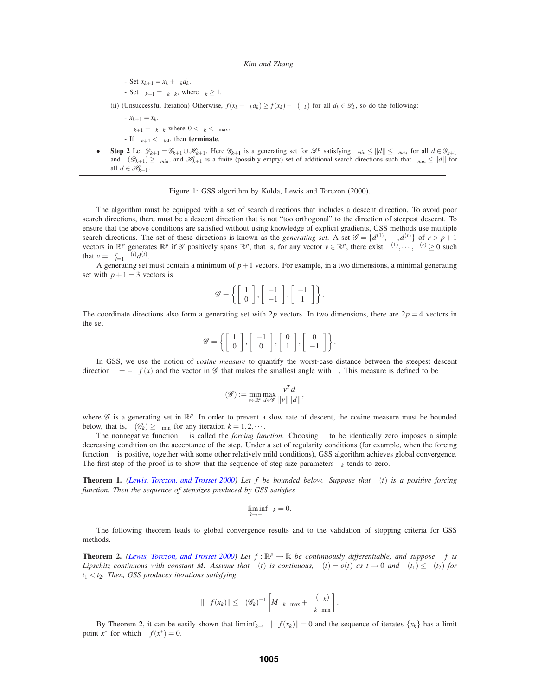- Set  $x_{k+1} = x_k + \Delta_k d_k$ .
- $-$  Set  $\Delta_{k+1} = \phi_k \Delta_k$ , where  $\phi_k ≥ 1$ .

(ii) (Unsuccessful Iteration) Otherwise,  $f(x_k + \Delta_k d_k) \ge f(x_k) - \rho(\Delta_k)$  for all  $d_k \in \mathcal{D}_k$ , so do the following:

- $-x_{k+1} = x_k$ .
- $-\Delta_{k+1} = \theta_k \Delta_k$  where  $0 < \theta_k < \theta_{\text{max}}$ .
- If  $\Delta_{k+1} < \Delta_{tol}$ , then **terminate**.
- **Step 2** Let  $\mathscr{D}_{k+1} = \mathscr{D}_{k+1} \cup \mathscr{H}_{k+1}$ . Here  $\mathscr{D}_{k+1}$  is a generating set for  $\mathscr{R}^p$  satisfying  $\beta_{min} \leq ||d|| \leq \beta_{max}$  for all  $d \in \mathscr{G}_{k+1}$ and  $\kappa(\mathcal{D}_{k+1}) \geq \kappa_{min}$ , and  $\mathcal{H}_{k+1}$  is a finite (possibly empty) set of additional search directions such that  $\beta_{min} \leq ||d||$  for all  $d \in \mathcal{H}_{k+1}$ .

Figure 1: GSS algorithm by Kolda, Lewis and Torczon (2000).

The algorithm must be equipped with a set of search directions that includes a descent direction. To avoid poor search directions, there must be a descent direction that is not "too orthogonal" to the direction of steepest descent. To ensure that the above conditions are satisfied without using knowledge of explicit gradients, GSS methods use multiple search directions. The set of these directions is known as the *generating set*. A set  $\mathscr{G} = \{d^{(1)}, \dots, d^{(r)}\}$  of  $r > p+1$ vectors in  $\mathbb{R}^p$  generates  $\mathbb{R}^p$  if  $\mathscr{G}$  positively spans  $\mathbb{R}^p$ , that is, for any vector  $v \in \mathbb{R}^p$ , there exist  $\lambda^{(1)}, \cdots, \lambda^{(r)} \ge 0$  such that  $v = \sum_{i=1}^{r} \lambda^{(i)} d^{(i)}$ .

A generating set must contain a minimum of  $p+1$  vectors. For example, in a two dimensions, a minimal generating set with  $p+1 = 3$  vectors is

$$
\mathscr{G} = \left\{ \left[ \begin{array}{c} 1 \\ 0 \end{array} \right], \left[ \begin{array}{c} -1 \\ -1 \end{array} \right], \left[ \begin{array}{c} -1 \\ 1 \end{array} \right] \right\}.
$$

The coordinate directions also form a generating set with 2*p* vectors. In two dimensions, there are  $2p = 4$  vectors in the set

$$
\mathscr{G} = \left\{ \left[ \begin{array}{c} 1 \\ 0 \end{array} \right], \left[ \begin{array}{c} -1 \\ 0 \end{array} \right], \left[ \begin{array}{c} 0 \\ 1 \end{array} \right], \left[ \begin{array}{c} 0 \\ -1 \end{array} \right] \right\}.
$$

In GSS, we use the notion of *cosine measure* to quantify the worst-case distance between the steepest descent direction  $v = -\nabla f(x)$  and the vector in G that makes the smallest angle with v. This measure is defined to be

$$
\kappa(\mathscr{G}):=\min_{v\in\mathbb{R}^n}\max_{d\in\mathscr{G}}\frac{v^Td}{\|v\|\|d\|},
$$

where  $\mathscr G$  is a generating set in  $\mathbb{R}^p$ . In order to prevent a slow rate of descent, the cosine measure must be bounded below, that is,  $\kappa(\mathscr{G}_k) \geq \kappa_{\min}$  for any iteration  $k = 1, 2, \cdots$ .

The nonnegative function  $\rho$  is called the *forcing function*. Choosing  $\rho$  to be identically zero imposes a simple decreasing condition on the acceptance of the step. Under a set of regularity conditions (for example, when the forcing function  $\rho$  is positive, together with some other relatively mild conditions), GSS algorithm achieves global convergence. The first step of the proof is to show that the sequence of step size parameters  $\Delta_k$  tends to zero.

**Theorem 1.** *(Lewis, Torczon, and Trosset 2000) Let f be bounded below. Suppose that*  $\rho(t)$  *is a positive forcing function. Then the sequence of stepsizes produced by GSS satisfies*

$$
\liminf_{k \to +\infty} \Delta_k = 0.
$$

The following theorem leads to global convergence results and to the validation of stopping criteria for GSS methods.

**Theorem 2.** *(Lewis, Torczon, and Trosset 2000) Let*  $f : \mathbb{R}^p \to \mathbb{R}$  *be continuously differentiable, and suppose*  $\nabla f$  *is Lipschitz continuous with constant M. Assume that*  $\rho(t)$  *is continuous,*  $\rho(t) = o(t)$  *as*  $t \to 0$  *and*  $\rho(t_1) \leq \rho(t_2)$  *for*  $t_1 < t_2$ *. Then, GSS produces iterations satisfying* 

$$
\|\nabla f(x_k)\| \le \kappa(\mathscr{G}_k)^{-1} \left[M\Delta_k\beta_{\max} + \frac{\rho(\Delta_k)}{\Delta_k\beta_{\min}}\right].
$$

By Theorem 2, it can be easily shown that  $\liminf_{k\to\infty} \|\nabla f(x_k)\| = 0$  and the sequence of iterates  $\{x_k\}$  has a limit point  $x^*$  for which  $\nabla f(x^*) = 0$ .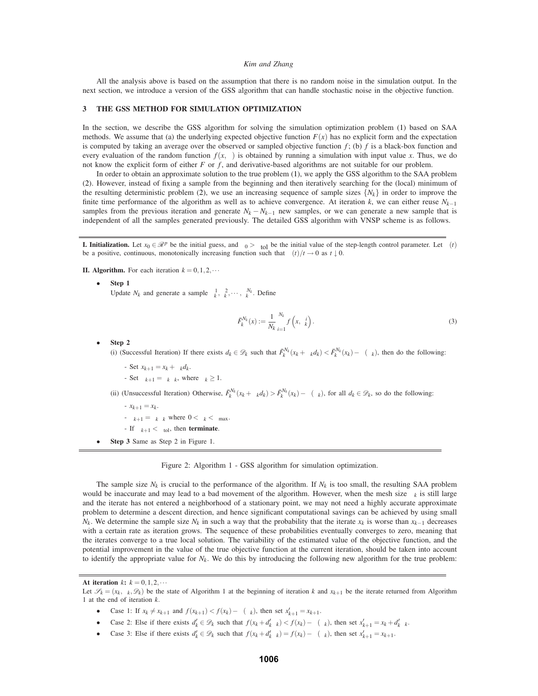All the analysis above is based on the assumption that there is no random noise in the simulation output. In the next section, we introduce a version of the GSS algorithm that can handle stochastic noise in the objective function.

### **3 THE GSS METHOD FOR SIMULATION OPTIMIZATION**

In the section, we describe the GSS algorithm for solving the simulation optimization problem (1) based on SAA methods. We assume that (a) the underlying expected objective function  $F(x)$  has no explicit form and the expectation is computed by taking an average over the observed or sampled objective function *f* ; (b) *f* is a black-box function and every evaluation of the random function  $f(x,\xi)$  is obtained by running a simulation with input value *x*. Thus, we do not know the explicit form of either *F* or *f* , and derivative-based algorithms are not suitable for our problem.

In order to obtain an approximate solution to the true problem (1), we apply the GSS algorithm to the SAA problem (2). However, instead of fixing a sample from the beginning and then iteratively searching for the (local) minimum of the resulting deterministic problem (2), we use an increasing sequence of sample sizes  $\{N_k\}$  in order to improve the finite time performance of the algorithm as well as to achieve convergence. At iteration *k*, we can either reuse *Nk*−<sup>1</sup> samples from the previous iteration and generate  $N_k - N_{k-1}$  new samples, or we can generate a new sample that is independent of all the samples generated previously. The detailed GSS algorithm with VNSP scheme is as follows.

**I. Initialization.** Let  $x_0 \in \mathbb{R}^p$  be the initial guess, and  $\Delta_0 > \Delta_{\text{tol}}$  be the initial value of the step-length control parameter. Let  $\rho(t)$ be a positive, continuous, monotonically increasing function such that  $\rho(t)/t \to 0$  as  $t \downarrow 0$ .

**II. Algorithm.** For each iteration  $k = 0, 1, 2, \cdots$ 

• **Step 1**

Update  $N_k$  and generate a sample  $\xi_k^1, \xi_k^2, \cdots, \xi_k^{N_k}$ . Define

$$
\bar{F}_k^{N_k}(x) := \frac{1}{N_k} \sum_{i=1}^{N_k} f\left(x, \xi_k^i\right).
$$
\n(3)

• **Step 2**

(i) (Successful Iteration) If there exists  $d_k \in \mathcal{D}_k$  such that  $\bar{F}_k^{N_k}(x_k + \Delta_k d_k) < \bar{F}_k^{N_k}(x_k) - \rho(\Delta_k)$ , then do the following:

- Set  $x_{k+1} = x_k + \Delta_k d_k$ .
- $-$  Set  $\Delta_{k+1} = \phi_k \Delta_k$ , where  $\phi_k \geq 1$ .

(ii) (Unsuccessful Iteration) Otherwise,  $\bar{F}_k^{N_k}(x_k + \Delta_k d_k) > \bar{F}_k^{N_k}(x_k) - \rho(\Delta_k)$ , for all  $d_k \in \mathcal{D}_k$ , so do the following:

- $-x_{k+1} = x_k$ .
- $-\Delta_{k+1} = \theta_k \Delta_k$  where  $0 < \theta_k < \theta_{\text{max}}$ .
- If  $\Delta_{k+1} < \Delta_{tol}$ , then **terminate**.
- **Step 3** Same as Step 2 in Figure 1.

Figure 2: Algorithm 1 - GSS algorithm for simulation optimization.

The sample size  $N_k$  is crucial to the performance of the algorithm. If  $N_k$  is too small, the resulting SAA problem would be inaccurate and may lead to a bad movement of the algorithm. However, when the mesh size ∆*<sup>k</sup>* is still large and the iterate has not entered a neighborhood of a stationary point, we may not need a highly accurate approximate problem to determine a descent direction, and hence significant computational savings can be achieved by using small *N<sub>k</sub>*. We determine the sample size *N<sub>k</sub>* in such a way that the probability that the iterate  $x_k$  is worse than  $x_{k-1}$  decreases with a certain rate as iteration grows. The sequence of these probabilities eventually converges to zero, meaning that the iterates converge to a true local solution. The variability of the estimated value of the objective function, and the potential improvement in the value of the true objective function at the current iteration, should be taken into account to identify the appropriate value for  $N_k$ . We do this by introducing the following new algorithm for the true problem:

- Case 1: If  $x_k \neq x_{k+1}$  and  $f(x_{k+1}) < f(x_k) \rho(\Delta_k)$ , then set  $x'_{k+1} = x_{k+1}$ .
- Case 2: Else if there exists  $d'_k \in \mathcal{D}_k$  such that  $f(x_k + d'_k \Delta_k) < f(x_k) \rho(\Delta_k)$ , then set  $x'_{k+1} = x_k + d'_k \Delta_k$ .
- Case 3: Else if there exists  $d'_{k} \in \mathcal{D}_{k}$  such that  $f(x_{k} + d'_{k} \Delta_{k}) = f(x_{k}) \rho(\Delta_{k})$ , then set  $x'_{k+1} = x_{k+1}$ .

At iteration  $k$ **:**  $k = 0, 1, 2, \cdots$ 

Let  $\mathscr{S}_k = (x_k, \Delta_k, \mathscr{D}_k)$  be the state of Algorithm 1 at the beginning of iteration *k* and  $x_{k+1}$  be the iterate returned from Algorithm 1 at the end of iteration *k*.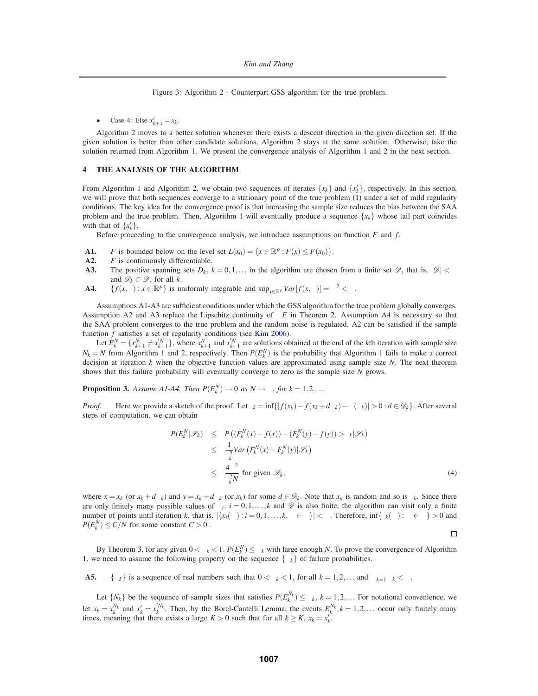Figure 3: Algorithm 2 - Counterpart GSS algorithm for the true problem.

• Case 4: Else  $x'_{k+1} = x_k$ .

Algorithm 2 moves to a better solution whenever there exists a descent direction in the given direction set. If the given solution is better than other candidate solutions, Algorithm 2 stays at the same solution. Otherwise, take the solution returned from Algorithm 1. We present the convergence analysis of Algorithm 1 and 2 in the next section.

# **4 THE ANALYSIS OF THE ALGORITHM**

From Algorithm 1 and Algorithm 2, we obtain two sequences of iterates  $\{x_k\}$  and  $\{x'_k\}$ , respectively. In this section, we will prove that both sequences converge to a stationary point of the true problem (1) under a set of mild regularity conditions. The key idea for the convergence proof is that increasing the sample size reduces the bias between the SAA problem and the true problem. Then, Algorithm 1 will eventually produce a sequence  $\{x_k\}$  whose tail part coincides with that of  $\{x'_{k}\}.$ 

Before proceeding to the convergence analysis, we introduce assumptions on function *F* and *f*.

- **A1.** *F* is bounded below on the level set  $L(x_0) = \{x \in \mathbb{R}^p : F(x) \leq F(x_0)\}.$
- **A2.** *F* is continuously differentiable.
- **A3.** The positive spanning sets  $D_k$ ,  $k = 0, 1, \ldots$  in the algorithm are chosen from a finite set  $\mathscr{D}$ , that is,  $|\mathscr{D}| < \infty$ and  $\mathscr{D}_k \subset \mathscr{D}$ , for all *k*.
- **A4.**  ${f(x, \xi) : x \in \mathbb{R}^p}$  is uniformly integrable and  $\sup_{x \in \mathbb{R}^p} Var[f(x, \xi)] = \sigma^2 < \infty$ .

Assumptions A1-A3 are sufficient conditions under which the GSS algorithm for the true problem globally converges. Assumption A2 and A3 replace the Lipschitz continuity of ∇*F* in Theorem 2. Assumption A4 is necessary so that the SAA problem converges to the true problem and the random noise is regulated. A2 can be satisfied if the sample function *f* satisfies a set of regularity conditions (see Kim 2006).

Let  $E_k^N = \{x_{k+1}^N \neq x_{k+1}^N\}$ , where  $x_{k+1}^N$  and  $x_{k+1}^N$  are solutions obtained at the end of the kth iteration with sample size  $N_k = N$  from Algorithm 1 and 2, respectively. Then  $P(E_k^N)$  is the probability that Algorithm 1 fails to make a correct decision at iteration *k* when the objective function values are approximated using sample size *N*. The next theorem shows that this failure probability will eventually converge to zero as the sample size *N* grows.

**Proposition 3.** Assume A1-A4. Then  $P(E_k^N) \to 0$  as  $N \to \infty$ , for  $k = 1, 2, ...$ 

*Proof.* Here we provide a sketch of the proof. Let  $\tau_k = \inf\{|f(x_k) - f(x_k + d\Delta_k) - \rho(\Delta_k)| > 0 : d \in \mathcal{D}_k\}$ . After several steps of computation, we can obtain

$$
P(E_k^N|\mathscr{S}_k) \leq P((\bar{F}_k^N(x) - f(x)) - (\bar{F}_k^N(y) - f(y)) > \tau_k|\mathscr{S}_k)
$$
  
\n
$$
\leq \frac{1}{\tau_k^2}Var(\bar{F}_k^N(x) - \bar{F}_k^N(y)|\mathscr{S}_k)
$$
  
\n
$$
\leq \frac{4\sigma^2}{\tau_k^2N} \text{ for given } \mathscr{S}_k,
$$
 (4)

where  $x = x_k$  (or  $x_k + d\Delta_k$ ) and  $y = x_k + d\Delta_k$  (or  $x_k$ ) for some  $d \in \mathcal{D}_k$ . Note that  $x_k$  is random and so is  $\tau_k$ . Since there are only finitely many possible values of  $\Delta_i$ ,  $i = 0, 1, \ldots, k$  and  $\mathscr D$  is also finite, the algorithm can visit only a finite number of points until iteration *k*, that is,  $|\{x_i(\omega): i = 0, 1, ..., k, \omega \in \Omega\}| < \infty$ . Therefore,  $\inf \{\tau_k(\omega): \omega \in \Omega\} > 0$  and  $P(E_k^N) \le C/N$  for some constant  $C > 0$ .

 $\Box$ 

By Theorem 3, for any given  $0 < \alpha_k < 1$ ,  $P(E_k^N) \le \alpha_k$  with large enough *N*. To prove the convergence of Algorithm 1, we need to assume the following property on the sequence  $\{\alpha_k\}$  of failure probabilities.

**A5.**  $\{\alpha_k\}$  is a sequence of real numbers such that  $0 < \alpha_k < 1$ , for all  $k = 1, 2, ...$  and  $\sum_{k=1}^{\infty} \alpha_k < \infty$ .

Let  $\{N_k\}$  be the sequence of sample sizes that satisfies  $P(E_k^{N_k}) \le \alpha_k$ ,  $k = 1, 2, \dots$  For notational convenience, we let  $x_k = x_k^{N_k}$  and  $x'_k = x_k^{N_k}$ . Then, by the Borel-Cantelli Lemma, the events  $E_k^{N_k}$ ,  $k = 1, 2, ...$  occur only finitely many times, meaning that there exists a large  $K > 0$  such that for all  $k \ge K$ ,  $x_k = x'_k$ .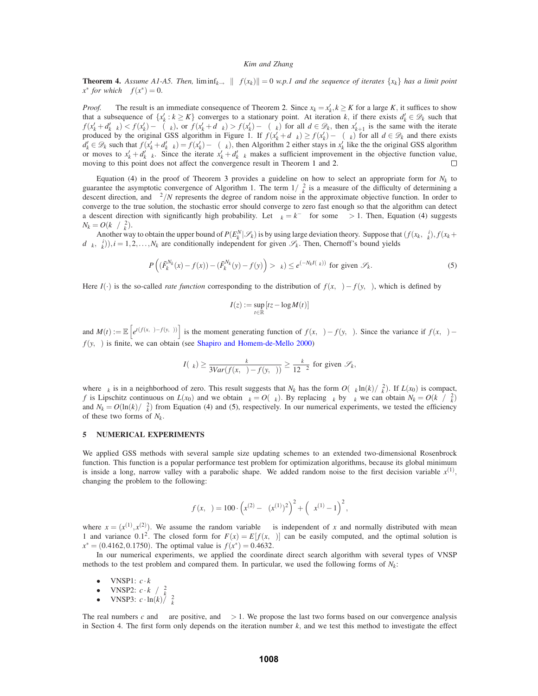**Theorem 4.** Assume A1-A5. Then,  $\liminf_{k\to\infty} \|\nabla f(x_k)\| = 0$  w.p.1 and the sequence of iterates  $\{x_k\}$  has a limit point  $x^*$  *for which*  $\nabla f(x^*) = 0$ .

*Proof.* The result is an immediate consequence of Theorem 2. Since  $x_k = x'_k, k \ge K$  for a large *K*, it suffices to show that a subsequence of  $\{x'_k : k \geq K\}$  converges to a stationary point. At iteration *k*, if there exists  $d'_k \in \mathcal{D}_k$  such that  $f(x'_k + d'_k \Delta_k) < f(x'_k) - \rho(\Delta_k)$ , or  $f(x'_k + d\Delta_k) > f(x'_k) - \rho(\Delta_k)$  for all  $d \in \mathcal{D}_k$ , then  $x'_{k+1}$  is the same with the iterate produced by the original GSS algorithm in Figure 1. If  $f(x_k' + d\Delta_k) \ge f(x_k') - \rho(\Delta_k)$  for all  $d \in \mathcal{D}_k$  and there exists  $d'_k \in \mathcal{D}_k$  such that  $f(x'_k + d'_k \Delta_k) = f(x'_k) - \rho(\Delta_k)$ , then Algorithm 2 either stays in  $x'_k$  like the original GSS algorithm or moves to  $x'_k + d'_k \Delta_k$ . Since the iterate  $x'_k + d'_k \Delta_k$  makes a sufficient improvement in the objective function value, moving to this point does not affect the convergence result in Theorem 1 and 2. П

Equation (4) in the proof of Theorem 3 provides a guideline on how to select an appropriate form for  $N_k$  to guarantee the asymptotic convergence of Algorithm 1. The term  $1/\tau_k^2$  is a measure of the difficulty of determining a descent direction, and  $\sigma^2/N$  represents the degree of random noise in the approximate objective function. In order to converge to the true solution, the stochastic error should converge to zero fast enough so that the algorithm can detect a descent direction with significantly high probability. Let  $\alpha_k = k^{-\alpha}$  for some  $\alpha > 1$ . Then, Equation (4) suggests  $N_k = O(k^{\alpha}/\tau_k^2).$ 

Another way to obtain the upper bound of  $P(E_k^N|\mathcal{S}_k)$  is by using large deviation theory. Suppose that  $(f(x_k, \xi_k^i), f(x_k +$  $d\Delta_k, \xi_k^i)$ ,  $i = 1, 2, ..., N_k$  are conditionally independent for given  $\mathscr{S}_k$ . Then, Chernoff's bound yields

$$
P\left(\left(\bar{F}_k^{N_k}(x) - f(x)\right) - \left(\bar{F}_k^{N_k}(y) - f(y)\right) > \tau_k \right) \le e^{\left(-N_k I(\tau_k)\right)} \text{ for given } \mathscr{S}_k. \tag{5}
$$

Here *I*(·) is the so-called *rate function* corresponding to the distribution of  $f(x,\xi) - f(y,\xi)$ , which is defined by

$$
I(z) := \sup_{t \in \mathbb{R}} [tz - \log M(t)]
$$

and  $M(t) := \mathbb{E}\left[e^{t(f(x,\xi)-f(y,\xi))}\right]$  is the moment generating function of  $f(x,\xi)-f(y,\xi)$ . Since the variance if  $f(x,\xi)-f(y,\xi)$  $f(y, \xi)$  is finite, we can obtain (see Shapiro and Homem-de-Mello 2000)

$$
I(\tau_k) \geq \frac{\tau_k}{3Var(f(x,\xi) - f(y,\xi))} \geq \frac{\tau_k}{12\sigma^2}
$$
 for given  $\mathscr{S}_k$ ,

where  $\tau_k$  is in a neighborhood of zero. This result suggests that  $N_k$  has the form  $O(\alpha_k \ln(k)/\tau_k^2)$ . If  $L(x_0)$  is compact, *f* is Lipschitz continuous on  $L(x_0)$  and we obtain  $\tau_k = O(\Delta_k)$ . By replacing  $\tau_k$  by  $\Delta_k$  we can obtain  $N_k = O(k^{\alpha}/\Delta_k^2)$ and  $N_k = O(\ln(k)/\Delta_k^2)$  from Equation (4) and (5), respectively. In our numerical experiments, we tested the efficiency of these two forms of *Nk*.

# **5 NUMERICAL EXPERIMENTS**

We applied GSS methods with several sample size updating schemes to an extended two-dimensional Rosenbrock function. This function is a popular performance test problem for optimization algorithms, because its global minimum is inside a long, narrow valley with a parabolic shape. We added random noise to the first decision variable  $x^{(1)}$ , changing the problem to the following:

$$
f(x,\xi) = 100 \cdot \left(x^{(2)} - \xi(x^{(1)})^2\right)^2 + \left(\xi x^{(1)} - 1\right)^2,
$$

where  $x = (x^{(1)}, x^{(2)})$ . We assume the random variable  $\xi$  is independent of *x* and normally distributed with mean 1 and variance 0.1<sup>2</sup>. The closed form for  $F(x) = E[f(x, \xi)]$  can be easily computed, and the optimal solution is  $x^* = (0.4162, 0.1750)$ . The optimal value is  $f(x^*) = 0.4632$ .

In our numerical experiments, we applied the coordinate direct search algorithm with several types of VNSP methods to the test problem and compared them. In particular, we used the following forms of  $N_k$ :

- VNSP1:  $c \cdot k^{\alpha}$
- 
- $\bullet$  VNSP2: *c*⋅*k*<sup>α</sup>/Δ<sup>2</sup><sub>*k*</sub><br>
VNSP3: *c*⋅ln(*k*)/Δ<sup>2</sup><sub>*k*</sub>

The real numbers *c* and  $\alpha$  are positive, and  $\alpha > 1$ . We propose the last two forms based on our convergence analysis in Section 4. The first form only depends on the iteration number  $k$ , and we test this method to investigate the effect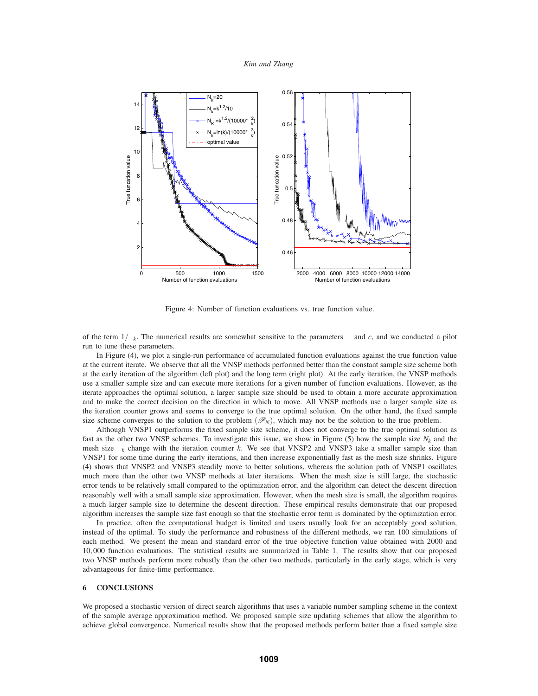

Figure 4: Number of function evaluations vs. true function value.

of the term 1/∆*k*. The numerical results are somewhat sensitive to the parameters <sup>α</sup> and *c*, and we conducted a pilot run to tune these parameters.

In Figure (4), we plot a single-run performance of accumulated function evaluations against the true function value at the current iterate. We observe that all the VNSP methods performed better than the constant sample size scheme both at the early iteration of the algorithm (left plot) and the long term (right plot). At the early iteration, the VNSP methods use a smaller sample size and can execute more iterations for a given number of function evaluations. However, as the iterate approaches the optimal solution, a larger sample size should be used to obtain a more accurate approximation and to make the correct decision on the direction in which to move. All VNSP methods use a larger sample size as the iteration counter grows and seems to converge to the true optimal solution. On the other hand, the fixed sample size scheme converges to the solution to the problem  $(\mathcal{P}_N)$ , which may not be the solution to the true problem.

Although VNSP1 outperforms the fixed sample size scheme, it does not converge to the true optimal solution as fast as the other two VNSP schemes. To investigate this issue, we show in Figure  $(5)$  how the sample size  $N_k$  and the mesh size ∆*<sup>k</sup>* change with the iteration counter *k*. We see that VNSP2 and VNSP3 take a smaller sample size than VNSP1 for some time during the early iterations, and then increase exponentially fast as the mesh size shrinks. Figure (4) shows that VNSP2 and VNSP3 steadily move to better solutions, whereas the solution path of VNSP1 oscillates much more than the other two VNSP methods at later iterations. When the mesh size is still large, the stochastic error tends to be relatively small compared to the optimization error, and the algorithm can detect the descent direction reasonably well with a small sample size approximation. However, when the mesh size is small, the algorithm requires a much larger sample size to determine the descent direction. These empirical results demonstrate that our proposed algorithm increases the sample size fast enough so that the stochastic error term is dominated by the optimization error.

In practice, often the computational budget is limited and users usually look for an acceptably good solution, instead of the optimal. To study the performance and robustness of the different methods, we ran 100 simulations of each method. We present the mean and standard error of the true objective function value obtained with 2000 and 10,000 function evaluations. The statistical results are summarized in Table 1. The results show that our proposed two VNSP methods perform more robustly than the other two methods, particularly in the early stage, which is very advantageous for finite-time performance.

### **6 CONCLUSIONS**

We proposed a stochastic version of direct search algorithms that uses a variable number sampling scheme in the context of the sample average approximation method. We proposed sample size updating schemes that allow the algorithm to achieve global convergence. Numerical results show that the proposed methods perform better than a fixed sample size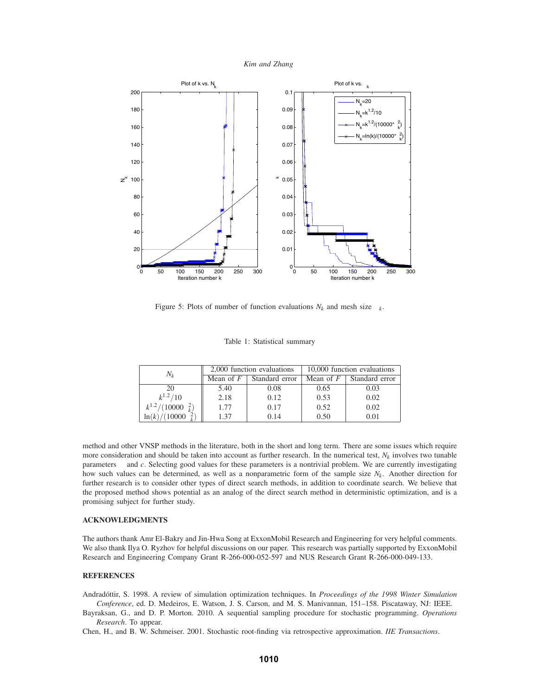



Figure 5: Plots of number of function evaluations  $N_k$  and mesh size  $\Delta_k$ .

|  |  | Table 1: Statistical summary |  |
|--|--|------------------------------|--|
|--|--|------------------------------|--|

| $N_k$                            |                   | 2,000 function evaluations | 10,000 function evaluations |                |
|----------------------------------|-------------------|----------------------------|-----------------------------|----------------|
|                                  | Mean of $F \perp$ | Standard error             | Mean of $F$                 | Standard error |
| 20                               | 5.40              | 0.08                       | 0.65                        | 0.03           |
| $k^{1.2}/10$                     | 2.18              | 0.12                       | 0.53                        | 0.02           |
| $k^{1.2}/(10000\Delta_k^2)$      | 1.77              | 0.17                       | 0.52                        | 0.02           |
| $\ln(k)/(10000\hat{\Delta}_k^2)$ | 1.37              | 0.14                       | 0.50                        | 0.01           |

method and other VNSP methods in the literature, both in the short and long term. There are some issues which require more consideration and should be taken into account as further research. In the numerical test,  $N_k$  involves two tunable parameters  $\alpha$  and  $c$ . Selecting good values for these parameters is a nontrivial problem. We are currently investigating how such values can be determined, as well as a nonparametric form of the sample size *Nk*. Another direction for further research is to consider other types of direct search methods, in addition to coordinate search. We believe that the proposed method shows potential as an analog of the direct search method in deterministic optimization, and is a promising subject for further study.

### **ACKNOWLEDGMENTS**

The authors thank Amr El-Bakry and Jin-Hwa Song at ExxonMobil Research and Engineering for very helpful comments. We also thank Ilya O. Ryzhov for helpful discussions on our paper. This research was partially supported by ExxonMobil Research and Engineering Company Grant R-266-000-052-597 and NUS Research Grant R-266-000-049-133.

# **REFERENCES**

Andradóttir, S. 1998. A review of simulation optimization techniques. In Proceedings of the 1998 Winter Simulation *Conference*, ed. D. Medeiros, E. Watson, J. S. Carson, and M. S. Manivannan, 151–158. Piscataway, NJ: IEEE.

Bayraksan, G., and D. P. Morton. 2010. A sequential sampling procedure for stochastic programming. *Operations Research*. To appear.

Chen, H., and B. W. Schmeiser. 2001. Stochastic root-finding via retrospective approximation. *IIE Transactions*.